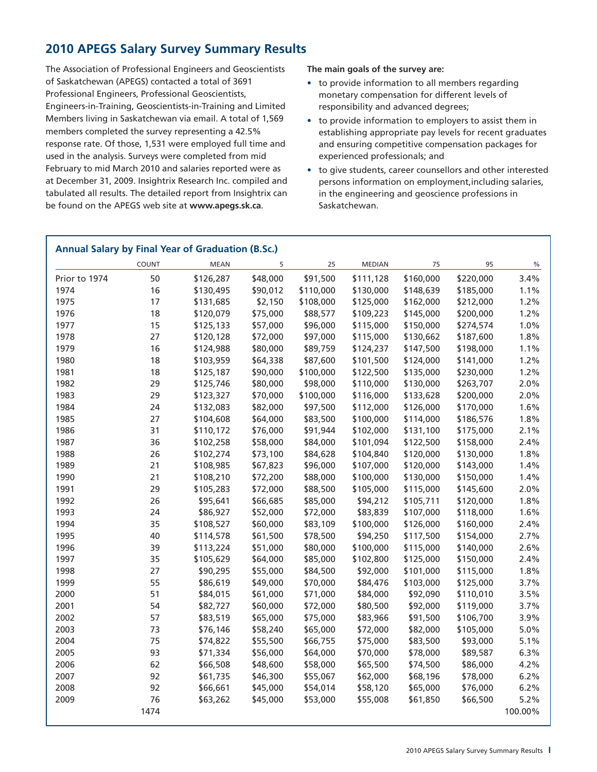## **2010 APEGS Salary Survey Summary Results**

The Association of Professional Engineers and Geoscientists of Saskatchewan (APEGS) contacted a total of 3691 Professional Engineers, Professional Geoscientists, Engineers-in-Training, Geoscientists-in-Training and Limited Members living in Saskatchewan via email. A total of 1,569 members completed the survey representing a 42.5% response rate. Of those, 1,531 were employed full time and used in the analysis. Surveys were completed from mid February to mid March 2010 and salaries reported were as at December 31, 2009. Insightrix Research Inc. compiled and tabulated all results. The detailed report from Insightrix can be found on the APEGS web site at **www.apegs.sk.ca**.

**The main goals of the survey are:**

- to provide information to all members regarding monetary compensation for different levels of responsibility and advanced degrees;
- to provide information to employers to assist them in establishing appropriate pay levels for recent graduates and ensuring competitive compensation packages for experienced professionals; and
- to give students, career counsellors and other interested persons information on employment,including salaries, in the engineering and geoscience professions in Saskatchewan.

|               | COUNT | <b>MEAN</b> | 5        | 25        | <b>MEDIAN</b> | 75        | 95        | $\%$    |
|---------------|-------|-------------|----------|-----------|---------------|-----------|-----------|---------|
| Prior to 1974 | 50    | \$126,287   | \$48,000 | \$91,500  | \$111,128     | \$160,000 | \$220,000 | 3.4%    |
| 1974          | 16    | \$130,495   | \$90,012 | \$110,000 | \$130,000     | \$148,639 | \$185,000 | 1.1%    |
| 1975          | 17    | \$131,685   | \$2,150  | \$108,000 | \$125,000     | \$162,000 | \$212,000 | 1.2%    |
| 1976          | 18    | \$120,079   | \$75,000 | \$88,577  | \$109,223     | \$145,000 | \$200,000 | 1.2%    |
| 1977          | 15    | \$125,133   | \$57,000 | \$96,000  | \$115,000     | \$150,000 | \$274,574 | 1.0%    |
| 1978          | 27    | \$120,128   | \$72,000 | \$97,000  | \$115,000     | \$130,662 | \$187,600 | 1.8%    |
| 1979          | 16    | \$124,988   | \$80,000 | \$89,759  | \$124,237     | \$147,500 | \$198,000 | 1.1%    |
| 1980          | 18    | \$103,959   | \$64,338 | \$87,600  | \$101,500     | \$124,000 | \$141,000 | 1.2%    |
| 1981          | 18    | \$125,187   | \$90,000 | \$100,000 | \$122,500     | \$135,000 | \$230,000 | 1.2%    |
| 1982          | 29    | \$125,746   | \$80,000 | \$98,000  | \$110,000     | \$130,000 | \$263,707 | 2.0%    |
| 1983          | 29    | \$123,327   | \$70,000 | \$100,000 | \$116,000     | \$133,628 | \$200,000 | 2.0%    |
| 1984          | 24    | \$132,083   | \$82,000 | \$97,500  | \$112,000     | \$126,000 | \$170,000 | 1.6%    |
| 1985          | 27    | \$104,608   | \$64,000 | \$83,500  | \$100,000     | \$114,000 | \$186,576 | 1.8%    |
| 1986          | 31    | \$110,172   | \$76,000 | \$91,944  | \$102,000     | \$131,100 | \$175,000 | 2.1%    |
| 1987          | 36    | \$102,258   | \$58,000 | \$84,000  | \$101,094     | \$122,500 | \$158,000 | 2.4%    |
| 1988          | 26    | \$102,274   | \$73,100 | \$84,628  | \$104,840     | \$120,000 | \$130,000 | 1.8%    |
| 1989          | 21    | \$108,985   | \$67,823 | \$96,000  | \$107,000     | \$120,000 | \$143,000 | 1.4%    |
| 1990          | 21    | \$108,210   | \$72,200 | \$88,000  | \$100,000     | \$130,000 | \$150,000 | 1.4%    |
| 1991          | 29    | \$105,283   | \$72,000 | \$88,500  | \$105,000     | \$115,000 | \$145,600 | 2.0%    |
| 1992          | 26    | \$95,641    | \$66,685 | \$85,000  | \$94,212      | \$105,711 | \$120,000 | 1.8%    |
| 1993          | 24    | \$86,927    | \$52,000 | \$72,000  | \$83,839      | \$107,000 | \$118,000 | 1.6%    |
| 1994          | 35    | \$108,527   | \$60,000 | \$83,109  | \$100,000     | \$126,000 | \$160,000 | 2.4%    |
| 1995          | 40    | \$114,578   | \$61,500 | \$78,500  | \$94,250      | \$117,500 | \$154,000 | 2.7%    |
| 1996          | 39    | \$113,224   | \$51,000 | \$80,000  | \$100,000     | \$115,000 | \$140,000 | 2.6%    |
| 1997          | 35    | \$105,629   | \$64,000 | \$85,000  | \$102,800     | \$125,000 | \$150,000 | 2.4%    |
| 1998          | 27    | \$90,295    | \$55,000 | \$84,500  | \$92,000      | \$101,000 | \$115,000 | 1.8%    |
| 1999          | 55    | \$86,619    | \$49,000 | \$70,000  | \$84,476      | \$103,000 | \$125,000 | 3.7%    |
| 2000          | 51    | \$84,015    | \$61,000 | \$71,000  | \$84,000      | \$92,090  | \$110,010 | 3.5%    |
| 2001          | 54    | \$82,727    | \$60,000 | \$72,000  | \$80,500      | \$92,000  | \$119,000 | 3.7%    |
| 2002          | 57    | \$83,519    | \$65,000 | \$75,000  | \$83,966      | \$91,500  | \$106,700 | 3.9%    |
| 2003          | 73    | \$76,146    | \$58,240 | \$65,000  | \$72,000      | \$82,000  | \$105,000 | 5.0%    |
| 2004          | 75    | \$74,822    | \$55,500 | \$66,755  | \$75,000      | \$83,500  | \$93,000  | 5.1%    |
| 2005          | 93    | \$71,334    | \$56,000 | \$64,000  | \$70,000      | \$78,000  | \$89,587  | 6.3%    |
| 2006          | 62    | \$66,508    | \$48,600 | \$58,000  | \$65,500      | \$74,500  | \$86,000  | 4.2%    |
| 2007          | 92    | \$61,735    | \$46,300 | \$55,067  | \$62,000      | \$68,196  | \$78,000  | 6.2%    |
| 2008          | 92    | \$66,661    | \$45,000 | \$54,014  | \$58,120      | \$65,000  | \$76,000  | 6.2%    |
| 2009          | 76    | \$63,262    | \$45,000 | \$53,000  | \$55,008      | \$61,850  | \$66,500  | 5.2%    |
|               | 1474  |             |          |           |               |           |           | 100.00% |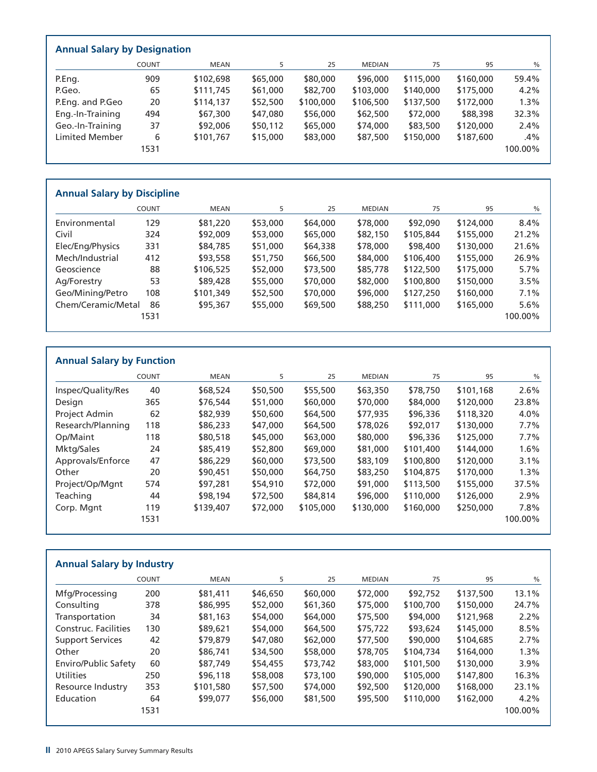| <b>Annual Salary by Designation</b> |              |           |          |           |               |           |           |         |
|-------------------------------------|--------------|-----------|----------|-----------|---------------|-----------|-----------|---------|
|                                     | <b>COUNT</b> | MEAN      | 5.       | 25        | <b>MEDIAN</b> | 75        | 95        | $\%$    |
| P.Eng.                              | 909          | \$102,698 | \$65,000 | \$80,000  | \$96,000      | \$115,000 | \$160,000 | 59.4%   |
| P.Geo.                              | 65           | \$111,745 | \$61,000 | \$82,700  | \$103,000     | \$140,000 | \$175,000 | 4.2%    |
| P.Eng. and P.Geo                    | 20           | \$114,137 | \$52,500 | \$100,000 | \$106,500     | \$137,500 | \$172,000 | 1.3%    |
| Eng.-In-Training                    | 494          | \$67,300  | \$47,080 | \$56,000  | \$62,500      | \$72,000  | \$88,398  | 32.3%   |
| Geo.-In-Training                    | 37           | \$92,006  | \$50,112 | \$65,000  | \$74,000      | \$83,500  | \$120,000 | 2.4%    |
| Limited Member                      | 6            | \$101,767 | \$15,000 | \$83,000  | \$87,500      | \$150,000 | \$187,600 | .4%     |
|                                     | 1531         |           |          |           |               |           |           | 100.00% |

## **Annual Salary by Discipline**

|                    | <b>COUNT</b> | MEAN      | 5        | 25       | <b>MEDIAN</b> | 75        | 95        | $\%$    |
|--------------------|--------------|-----------|----------|----------|---------------|-----------|-----------|---------|
| Environmental      | 129          | \$81,220  | \$53,000 | \$64,000 | \$78,000      | \$92,090  | \$124,000 | 8.4%    |
| Civil              | 324          | \$92,009  | \$53,000 | \$65,000 | \$82,150      | \$105,844 | \$155,000 | 21.2%   |
| Elec/Eng/Physics   | 331          | \$84,785  | \$51,000 | \$64,338 | \$78,000      | \$98,400  | \$130,000 | 21.6%   |
| Mech/Industrial    | 412          | \$93,558  | \$51,750 | \$66,500 | \$84,000      | \$106,400 | \$155,000 | 26.9%   |
| Geoscience         | 88           | \$106,525 | \$52,000 | \$73,500 | \$85,778      | \$122,500 | \$175,000 | 5.7%    |
| Ag/Forestry        | 53           | \$89,428  | \$55,000 | \$70,000 | \$82,000      | \$100,800 | \$150,000 | 3.5%    |
| Geo/Mining/Petro   | 108          | \$101,349 | \$52,500 | \$70,000 | \$96,000      | \$127,250 | \$160,000 | 7.1%    |
| Chem/Ceramic/Metal | 86           | \$95,367  | \$55,000 | \$69,500 | \$88,250      | \$111,000 | \$165,000 | 5.6%    |
|                    | 1531         |           |          |          |               |           |           | 100.00% |

| <b>Annual Salary by Function</b> |              |             |          |           |               |           |           |         |  |
|----------------------------------|--------------|-------------|----------|-----------|---------------|-----------|-----------|---------|--|
|                                  | <b>COUNT</b> | <b>MEAN</b> | 5        | 25        | <b>MEDIAN</b> | 75        | 95        | $\%$    |  |
| Inspec/Quality/Res               | 40           | \$68,524    | \$50,500 | \$55,500  | \$63,350      | \$78,750  | \$101,168 | 2.6%    |  |
| Design                           | 365          | \$76,544    | \$51,000 | \$60,000  | \$70,000      | \$84,000  | \$120,000 | 23.8%   |  |
| Project Admin                    | 62           | \$82,939    | \$50,600 | \$64,500  | \$77,935      | \$96,336  | \$118,320 | 4.0%    |  |
| Research/Planning                | 118          | \$86,233    | \$47,000 | \$64,500  | \$78,026      | \$92,017  | \$130,000 | $7.7\%$ |  |
| Op/Maint                         | 118          | \$80,518    | \$45,000 | \$63,000  | \$80,000      | \$96,336  | \$125,000 | 7.7%    |  |
| Mktg/Sales                       | 24           | \$85,419    | \$52,800 | \$69,000  | \$81,000      | \$101,400 | \$144,000 | 1.6%    |  |
| Approvals/Enforce                | 47           | \$86,229    | \$60,000 | \$73,500  | \$83,109      | \$100,800 | \$120,000 | 3.1%    |  |
| Other                            | 20           | \$90,451    | \$50,000 | \$64,750  | \$83,250      | \$104,875 | \$170,000 | 1.3%    |  |
| Project/Op/Mgnt                  | 574          | \$97,281    | \$54,910 | \$72,000  | \$91,000      | \$113,500 | \$155,000 | 37.5%   |  |
| Teaching                         | 44           | \$98,194    | \$72,500 | \$84,814  | \$96,000      | \$110,000 | \$126,000 | 2.9%    |  |
| Corp. Mgnt                       | 119          | \$139,407   | \$72,000 | \$105,000 | \$130,000     | \$160,000 | \$250,000 | 7.8%    |  |
|                                  | 1531         |             |          |           |               |           |           | 100.00% |  |

| <b>Annual Salary by Industry</b> |              |             |          |          |               |           |           |         |
|----------------------------------|--------------|-------------|----------|----------|---------------|-----------|-----------|---------|
|                                  | <b>COUNT</b> | <b>MEAN</b> | 5        | 25       | <b>MEDIAN</b> | 75        | 95        | $\%$    |
| Mfg/Processing                   | 200          | \$81,411    | \$46,650 | \$60,000 | \$72,000      | \$92,752  | \$137,500 | 13.1%   |
| Consulting                       | 378          | \$86,995    | \$52,000 | \$61,360 | \$75,000      | \$100,700 | \$150,000 | 24.7%   |
| Transportation                   | 34           | \$81,163    | \$54,000 | \$64,000 | \$75,500      | \$94,000  | \$121,968 | $2.2\%$ |
| Construc. Facilities             | 130          | \$89,621    | \$54,000 | \$64,500 | \$75,722      | \$93,624  | \$145,000 | 8.5%    |
| <b>Support Services</b>          | 42           | \$79,879    | \$47,080 | \$62,000 | \$77,500      | \$90,000  | \$104,685 | 2.7%    |
| Other                            | 20           | \$86,741    | \$34,500 | \$58,000 | \$78,705      | \$104,734 | \$164,000 | 1.3%    |
| <b>Enviro/Public Safety</b>      | 60           | \$87,749    | \$54,455 | \$73,742 | \$83,000      | \$101,500 | \$130,000 | 3.9%    |
| <b>Utilities</b>                 | 250          | \$96,118    | \$58,008 | \$73,100 | \$90,000      | \$105,000 | \$147,800 | 16.3%   |
| Resource Industry                | 353          | \$101,580   | \$57,500 | \$74,000 | \$92,500      | \$120,000 | \$168,000 | 23.1%   |
| Education                        | 64           | \$99,077    | \$56,000 | \$81,500 | \$95,500      | \$110,000 | \$162,000 | $4.2\%$ |
|                                  | 1531         |             |          |          |               |           |           | 100.00% |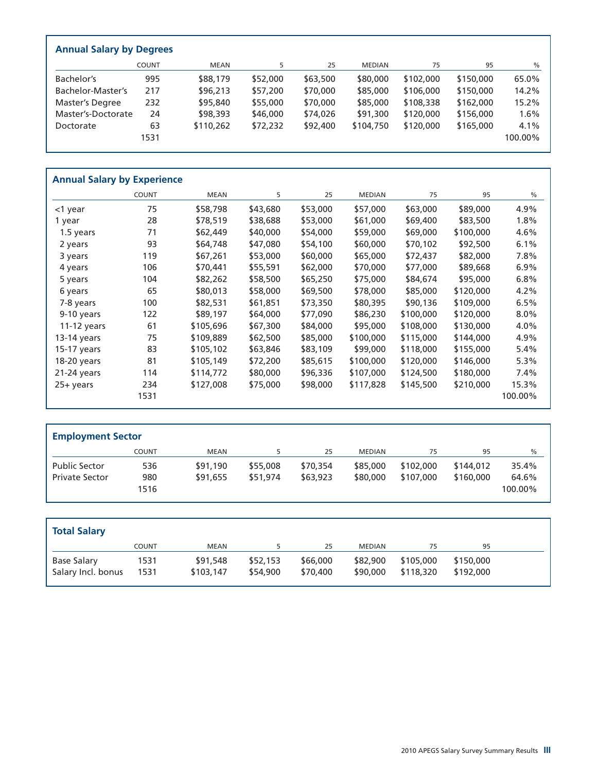| <b>Annual Salary by Degrees</b> |              |           |          |          |               |           |           |               |  |
|---------------------------------|--------------|-----------|----------|----------|---------------|-----------|-----------|---------------|--|
|                                 | <b>COUNT</b> | MEAN      | 5        | 25       | <b>MEDIAN</b> | 75        | 95        | $\frac{0}{0}$ |  |
| Bachelor's                      | 995          | \$88,179  | \$52,000 | \$63,500 | \$80,000      | \$102,000 | \$150,000 | 65.0%         |  |
| Bachelor-Master's               | 217          | \$96,213  | \$57,200 | \$70,000 | \$85,000      | \$106,000 | \$150,000 | 14.2%         |  |
| <b>Master's Degree</b>          | 232          | \$95,840  | \$55,000 | \$70,000 | \$85,000      | \$108,338 | \$162,000 | 15.2%         |  |
| Master's-Doctorate              | 24           | \$98,393  | \$46,000 | \$74,026 | \$91,300      | \$120,000 | \$156,000 | 1.6%          |  |
| Doctorate                       | 63           | \$110,262 | \$72,232 | \$92,400 | \$104,750     | \$120,000 | \$165,000 | 4.1%          |  |
|                                 | 1531         |           |          |          |               |           |           | 100.00%       |  |

| <b>Annual Salary by Experience</b> |              |             |          |          |               |           |           |         |  |
|------------------------------------|--------------|-------------|----------|----------|---------------|-----------|-----------|---------|--|
|                                    | <b>COUNT</b> | <b>MEAN</b> | 5        | 25       | <b>MEDIAN</b> | 75        | 95        | %       |  |
| <1 year                            | 75           | \$58,798    | \$43,680 | \$53,000 | \$57,000      | \$63,000  | \$89,000  | 4.9%    |  |
| 1 year                             | 28           | \$78,519    | \$38,688 | \$53,000 | \$61,000      | \$69,400  | \$83,500  | 1.8%    |  |
| 1.5 years                          | 71           | \$62,449    | \$40,000 | \$54,000 | \$59,000      | \$69,000  | \$100,000 | 4.6%    |  |
| 2 years                            | 93           | \$64,748    | \$47,080 | \$54,100 | \$60,000      | \$70,102  | \$92,500  | 6.1%    |  |
| 3 years                            | 119          | \$67,261    | \$53,000 | \$60,000 | \$65,000      | \$72,437  | \$82,000  | 7.8%    |  |
| 4 years                            | 106          | \$70,441    | \$55,591 | \$62,000 | \$70,000      | \$77,000  | \$89,668  | 6.9%    |  |
| 5 years                            | 104          | \$82,262    | \$58,500 | \$65,250 | \$75,000      | \$84,674  | \$95,000  | 6.8%    |  |
| 6 years                            | 65           | \$80,013    | \$58,000 | \$69,500 | \$78,000      | \$85,000  | \$120,000 | 4.2%    |  |
| 7-8 years                          | 100          | \$82,531    | \$61,851 | \$73,350 | \$80,395      | \$90,136  | \$109,000 | 6.5%    |  |
| 9-10 years                         | 122          | \$89,197    | \$64,000 | \$77,090 | \$86,230      | \$100,000 | \$120,000 | 8.0%    |  |
| $11-12$ years                      | 61           | \$105,696   | \$67,300 | \$84,000 | \$95,000      | \$108,000 | \$130,000 | 4.0%    |  |
| $13-14$ years                      | 75           | \$109,889   | \$62,500 | \$85,000 | \$100,000     | \$115,000 | \$144,000 | 4.9%    |  |
| $15-17$ years                      | 83           | \$105,102   | \$63,846 | \$83,109 | \$99,000      | \$118,000 | \$155,000 | 5.4%    |  |
| 18-20 years                        | 81           | \$105,149   | \$72,200 | \$85,615 | \$100,000     | \$120,000 | \$146,000 | 5.3%    |  |
| 21-24 years                        | 114          | \$114,772   | \$80,000 | \$96,336 | \$107,000     | \$124,500 | \$180,000 | 7.4%    |  |
| $25+ years$                        | 234          | \$127,008   | \$75,000 | \$98,000 | \$117,828     | \$145,500 | \$210,000 | 15.3%   |  |
|                                    | 1531         |             |          |          |               |           |           | 100.00% |  |

| <b>Employment Sector</b> |              |             |          |          |               |           |           |                  |
|--------------------------|--------------|-------------|----------|----------|---------------|-----------|-----------|------------------|
|                          | <b>COUNT</b> | <b>MEAN</b> |          | 25       | <b>MEDIAN</b> | 75        | 95        | $\%$             |
| Public Sector            | 536          | \$91,190    | \$55,008 | \$70,354 | \$85,000      | \$102,000 | \$144,012 | 35.4%            |
| <b>Private Sector</b>    | 980<br>1516  | \$91,655    | \$51,974 | \$63,923 | \$80,000      | \$107,000 | \$160,000 | 64.6%<br>100.00% |

| <b>Total Salary</b> |              |           |          |          |               |           |           |  |
|---------------------|--------------|-----------|----------|----------|---------------|-----------|-----------|--|
|                     | <b>COUNT</b> | MEAN      |          | 25       | <b>MEDIAN</b> | 75        | 95        |  |
| Base Salary         | 1531         | \$91,548  | \$52,153 | \$66,000 | \$82,900      | \$105,000 | \$150,000 |  |
| Salary Incl. bonus  | 1531         | \$103,147 | \$54,900 | \$70,400 | \$90,000      | \$118,320 | \$192,000 |  |